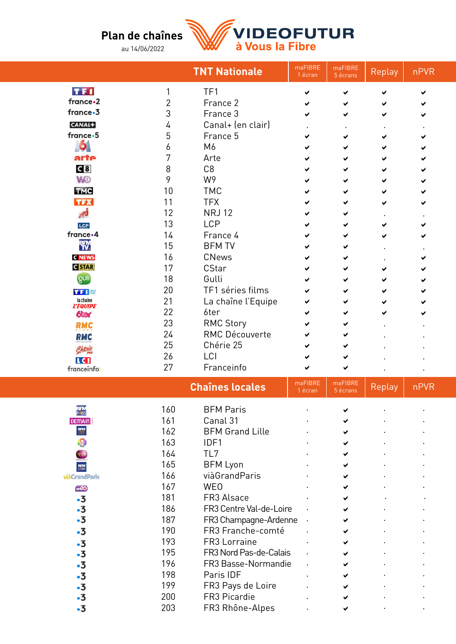## **Plan de chaînes**

au 14/06/2022



|                              |                | <b>TNT Nationale</b>   | maFIBRE<br>1 écran | maFIBRE<br>5 écrans | Replay | nPVR |  |
|------------------------------|----------------|------------------------|--------------------|---------------------|--------|------|--|
| TF1                          | 1              | TF1                    | ✔                  | ✔                   | ✔      | ✔    |  |
| france.2                     | $\overline{2}$ | France 2               |                    | ✔                   |        |      |  |
| france.3                     | 3              | France 3               |                    | ✔                   | ✔      |      |  |
| CANAL+                       | 4              | Canal+ (en clair)      |                    |                     |        |      |  |
| france.5                     | 5              | France 5               |                    |                     | ✔      |      |  |
| $\bullet$                    | 6              | M6                     |                    | ✔                   |        |      |  |
| arte                         | 7              | Arte                   |                    |                     |        |      |  |
| G 8                          | 8              | C <sub>8</sub>         |                    |                     | ✔      |      |  |
| <b>W</b> O                   | 9              | W9                     |                    | ✔                   |        |      |  |
| <b>TMC</b>                   | 10             | <b>TMC</b>             |                    | ✔                   |        |      |  |
| <b>TFX</b>                   | 11             | <b>TFX</b>             |                    | ✔                   |        |      |  |
| أجر                          | 12             | <b>NRJ12</b>           |                    | ✔                   |        |      |  |
| LCP                          | 13             | <b>LCP</b>             |                    | ✔                   |        |      |  |
| france.4                     | 14             | France 4               |                    | ✔                   | ✔      |      |  |
| BEM.                         | 15             | <b>BFM TV</b>          |                    | ✔                   |        |      |  |
| <b>C NEWS</b>                | 16             | <b>CNews</b>           |                    | ✔                   |        |      |  |
| <b>G</b> STAR                | 17             | CStar                  |                    | ✔                   |        |      |  |
| gulli                        | 18             | Gulli                  |                    | ✔                   |        |      |  |
| 工工職                          | 20             | TF1 séries films       |                    | ✔                   |        |      |  |
| la chaine<br><b>L'EQUIPE</b> | 21             | La chaîne l'Equipe     |                    | ✔                   |        |      |  |
| <b><i><u>oter</u></i></b>    | 22             | 6ter                   |                    |                     |        |      |  |
| <b>RMC</b>                   | 23             | <b>RMC Story</b>       |                    |                     |        |      |  |
| <b>RMC</b>                   | 24             | <b>RMC Découverte</b>  |                    |                     |        |      |  |
| Chérie                       | 25             | Chérie 25              |                    |                     |        |      |  |
| LC I                         | 26             | LCI                    |                    |                     |        |      |  |
| franceinfo:                  | 27             | Franceinfo             |                    | ✔                   |        |      |  |
|                              |                | <b>Chaînes locales</b> | maFIBRE<br>1 écran | maFIBRE<br>5 écrans | Replay | nPVR |  |
| <b>BFM</b><br>PARIS          | 160            | <b>BFM Paris</b>       |                    |                     |        |      |  |
| <b>DEMAIN</b>                | 161            | Canal <sub>31</sub>    |                    | ◢                   |        |      |  |

| <b>BFTM</b><br>Paris | 160 | <b>BFM Paris</b>        |  |  |
|----------------------|-----|-------------------------|--|--|
| <b>DEMAIN</b>        | 161 | Canal 31                |  |  |
| <b>BFM</b>           | 162 | <b>BFM Grand Lille</b>  |  |  |
|                      | 163 | IDF1                    |  |  |
| U                    | 164 | TL7                     |  |  |
| <b>BFM</b><br>LYON   | 165 | <b>BFM Lyon</b>         |  |  |
| viàGrandParis        | 166 | viàGrandParis           |  |  |
| <b>WéO</b>           | 167 | <b>WEO</b>              |  |  |
| $\cdot 3$            | 181 | FR3 Alsace              |  |  |
| $\cdot$ 3            | 186 | FR3 Centre Val-de-Loire |  |  |
| $\cdot 3$            | 187 | FR3 Champagne-Ardenne   |  |  |
| $\cdot$ 3            | 190 | FR3 Franche-comté       |  |  |
| $\cdot$ 3            | 193 | FR3 Lorraine            |  |  |
| $\cdot$ 3            | 195 | FR3 Nord Pas-de-Calais  |  |  |
| $\cdot 3$            | 196 | FR3 Basse-Normandie     |  |  |
| $\cdot 3$            | 198 | Paris IDF               |  |  |
| $\cdot 3$            | 199 | FR3 Pays de Loire       |  |  |
| 5.                   | 200 | FR3 Picardie            |  |  |
| ٠3                   | 203 | FR3 Rhône-Alpes         |  |  |
|                      |     |                         |  |  |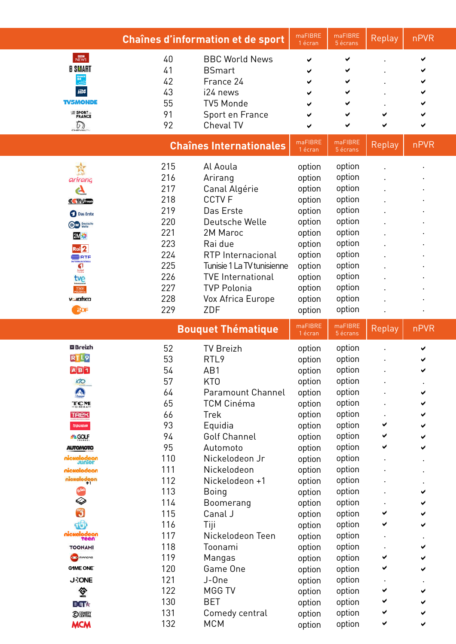| $M$ and $M$<br>40<br><b>BBC World News</b><br>✔<br><b>B SMART</b><br>41<br><b>BSmart</b><br>42<br>France 24<br>43<br>i24 news<br><b>TV5MONDE</b><br>55<br>TV5 Monde<br>$\equiv$ SPORT<br>FRANCE<br>91<br>Sport en France<br>✔<br>✔<br>92<br>Cheval TV<br>D<br>✔<br>✔<br>maFIBRE<br>maFIBRE<br>nPVR<br><b>Chaînes Internationales</b><br>Replay<br>1 écran<br>5 écrans<br>215<br>option<br>Al Aoula<br>Ŵ<br>option<br>216<br>option<br>Arirang<br>option<br>arirang<br>option<br>217<br>Canal Algérie<br>option<br>$\mathbf{G}$<br><b>CCTVF</b><br>option<br>218<br>option<br>CCTVAD<br>219<br>option<br>option<br>Das Erste<br><b>Das Erste</b><br>option<br>220<br>option<br>Deutsche Welle<br>D <sub>W</sub> Deutsche<br>221<br>option<br>2M Maroc<br>option<br>$2M \times 1$<br>223<br>option<br>option<br>Rai due<br>Rai<br>option<br>224<br><b>RTP</b> Internacional<br>option<br><b>ERTP</b><br>TERNACIONAL<br>225<br>option<br>Tunisie 1 La TV tunisienne<br>option<br>G<br><b>SANDAR</b><br>option<br>226<br>option<br><b>TVE International</b><br>tve<br>227<br>option<br><b>TVP Polonia</b><br>option<br><b>TMP</b><br>option<br>228<br>option<br>Vox Africa Europe<br><b>v</b> -xafrica<br>229<br>option<br>ZDF<br>option<br><b>ROP</b><br>maFIBRE<br>maFIBRE<br>nPVR<br><b>Bouquet Thématique</b><br>Replay<br>1 écran<br>5 écrans<br><b>EBreizh</b><br>option<br>52<br><b>TV Breizh</b><br>option<br>RTL9<br>option<br>53<br>RTL <sub>9</sub><br>option<br>$A$ $B$ <sup>1</sup><br>54<br>AB1<br>option<br>option<br>57<br>option<br>K <sub>1</sub><br>KT <sub>0</sub><br>option<br>option<br>$\bigwedge$<br>64<br>option<br>Paramount Channel<br>65<br>option<br><b>TCM Cinéma</b><br>option<br>TCM<br>66<br>option<br><b>Trek</b><br>option<br><b>TREK</b><br>93<br>option<br>Equidia<br>option<br><b>EQUIDIA</b><br>✔<br>94<br><b>Golf Channel</b><br>option<br>option<br>✔<br><b>SILCOLF</b><br>95<br>option<br>option<br>Automoto<br>✔<br><b>AUTOMOTO</b><br>110<br>option<br>Nickelodeon Jr<br>option<br>nickelodeon<br>aunior<br>111<br>option<br>Nickelodeon<br>option<br>nickelodeon<br><b>nickelodeon</b><br>112<br>Nickelodeon +1<br>option<br>option<br>113<br>option<br><b>Boing</b><br>option<br>❤<br>114<br>option<br>Boomerang<br>option<br>$\mathbf{J}$<br>115<br>Canal J<br>option<br>option<br>✔<br>⊕<br>116<br>Tiji<br>option<br>option<br>✔<br>nickelodeon<br>Teen<br>117<br>Nickelodeon Teen<br>option<br>option<br>118<br>option<br>Toonami<br>option<br><b>TOONAMI</b><br><b>Comences</b><br>119<br>option<br>Mangas<br>option<br>✔<br>120<br><b>GIME ONE</b><br>Game One<br>option<br>option<br>✔<br>121<br>J-One<br>option<br><b>J-ONE</b><br>option<br>122<br>MGG TV<br>签<br>option<br>option<br>✔<br>130<br><b>BET</b><br>option<br>option<br>✔<br>B∈T★<br>131<br>Comedy central<br>option<br>option<br>✔<br><b>O EMHRI</b><br>132<br><b>MCM</b><br><b>MCM</b><br>option<br>option<br>✔<br>✔ | Chaînes d'information et de sport | maFIBRE<br>1 écran | maFIBRE<br>5 écrans | Replay | nPVR |  |
|--------------------------------------------------------------------------------------------------------------------------------------------------------------------------------------------------------------------------------------------------------------------------------------------------------------------------------------------------------------------------------------------------------------------------------------------------------------------------------------------------------------------------------------------------------------------------------------------------------------------------------------------------------------------------------------------------------------------------------------------------------------------------------------------------------------------------------------------------------------------------------------------------------------------------------------------------------------------------------------------------------------------------------------------------------------------------------------------------------------------------------------------------------------------------------------------------------------------------------------------------------------------------------------------------------------------------------------------------------------------------------------------------------------------------------------------------------------------------------------------------------------------------------------------------------------------------------------------------------------------------------------------------------------------------------------------------------------------------------------------------------------------------------------------------------------------------------------------------------------------------------------------------------------------------------------------------------------------------------------------------------------------------------------------------------------------------------------------------------------------------------------------------------------------------------------------------------------------------------------------------------------------------------------------------------------------------------------------------------------------------------------------------------------------------------------------------------------------------------------------------------------------------------------------------------------------------------------------------------------------------------------------------------------------------------------------------------------------------------------------------------------------------------------------------------------------------------------------------------------------------------------------------------------------------------------|-----------------------------------|--------------------|---------------------|--------|------|--|
|                                                                                                                                                                                                                                                                                                                                                                                                                                                                                                                                                                                                                                                                                                                                                                                                                                                                                                                                                                                                                                                                                                                                                                                                                                                                                                                                                                                                                                                                                                                                                                                                                                                                                                                                                                                                                                                                                                                                                                                                                                                                                                                                                                                                                                                                                                                                                                                                                                                                                                                                                                                                                                                                                                                                                                                                                                                                                                                                      |                                   |                    |                     |        |      |  |
|                                                                                                                                                                                                                                                                                                                                                                                                                                                                                                                                                                                                                                                                                                                                                                                                                                                                                                                                                                                                                                                                                                                                                                                                                                                                                                                                                                                                                                                                                                                                                                                                                                                                                                                                                                                                                                                                                                                                                                                                                                                                                                                                                                                                                                                                                                                                                                                                                                                                                                                                                                                                                                                                                                                                                                                                                                                                                                                                      |                                   |                    |                     |        |      |  |
|                                                                                                                                                                                                                                                                                                                                                                                                                                                                                                                                                                                                                                                                                                                                                                                                                                                                                                                                                                                                                                                                                                                                                                                                                                                                                                                                                                                                                                                                                                                                                                                                                                                                                                                                                                                                                                                                                                                                                                                                                                                                                                                                                                                                                                                                                                                                                                                                                                                                                                                                                                                                                                                                                                                                                                                                                                                                                                                                      |                                   |                    |                     |        |      |  |
|                                                                                                                                                                                                                                                                                                                                                                                                                                                                                                                                                                                                                                                                                                                                                                                                                                                                                                                                                                                                                                                                                                                                                                                                                                                                                                                                                                                                                                                                                                                                                                                                                                                                                                                                                                                                                                                                                                                                                                                                                                                                                                                                                                                                                                                                                                                                                                                                                                                                                                                                                                                                                                                                                                                                                                                                                                                                                                                                      |                                   |                    |                     |        |      |  |
|                                                                                                                                                                                                                                                                                                                                                                                                                                                                                                                                                                                                                                                                                                                                                                                                                                                                                                                                                                                                                                                                                                                                                                                                                                                                                                                                                                                                                                                                                                                                                                                                                                                                                                                                                                                                                                                                                                                                                                                                                                                                                                                                                                                                                                                                                                                                                                                                                                                                                                                                                                                                                                                                                                                                                                                                                                                                                                                                      |                                   |                    |                     |        |      |  |
|                                                                                                                                                                                                                                                                                                                                                                                                                                                                                                                                                                                                                                                                                                                                                                                                                                                                                                                                                                                                                                                                                                                                                                                                                                                                                                                                                                                                                                                                                                                                                                                                                                                                                                                                                                                                                                                                                                                                                                                                                                                                                                                                                                                                                                                                                                                                                                                                                                                                                                                                                                                                                                                                                                                                                                                                                                                                                                                                      |                                   |                    |                     |        |      |  |
|                                                                                                                                                                                                                                                                                                                                                                                                                                                                                                                                                                                                                                                                                                                                                                                                                                                                                                                                                                                                                                                                                                                                                                                                                                                                                                                                                                                                                                                                                                                                                                                                                                                                                                                                                                                                                                                                                                                                                                                                                                                                                                                                                                                                                                                                                                                                                                                                                                                                                                                                                                                                                                                                                                                                                                                                                                                                                                                                      |                                   |                    |                     |        |      |  |
|                                                                                                                                                                                                                                                                                                                                                                                                                                                                                                                                                                                                                                                                                                                                                                                                                                                                                                                                                                                                                                                                                                                                                                                                                                                                                                                                                                                                                                                                                                                                                                                                                                                                                                                                                                                                                                                                                                                                                                                                                                                                                                                                                                                                                                                                                                                                                                                                                                                                                                                                                                                                                                                                                                                                                                                                                                                                                                                                      |                                   |                    |                     |        |      |  |
|                                                                                                                                                                                                                                                                                                                                                                                                                                                                                                                                                                                                                                                                                                                                                                                                                                                                                                                                                                                                                                                                                                                                                                                                                                                                                                                                                                                                                                                                                                                                                                                                                                                                                                                                                                                                                                                                                                                                                                                                                                                                                                                                                                                                                                                                                                                                                                                                                                                                                                                                                                                                                                                                                                                                                                                                                                                                                                                                      |                                   |                    |                     |        |      |  |
|                                                                                                                                                                                                                                                                                                                                                                                                                                                                                                                                                                                                                                                                                                                                                                                                                                                                                                                                                                                                                                                                                                                                                                                                                                                                                                                                                                                                                                                                                                                                                                                                                                                                                                                                                                                                                                                                                                                                                                                                                                                                                                                                                                                                                                                                                                                                                                                                                                                                                                                                                                                                                                                                                                                                                                                                                                                                                                                                      |                                   |                    |                     |        |      |  |
|                                                                                                                                                                                                                                                                                                                                                                                                                                                                                                                                                                                                                                                                                                                                                                                                                                                                                                                                                                                                                                                                                                                                                                                                                                                                                                                                                                                                                                                                                                                                                                                                                                                                                                                                                                                                                                                                                                                                                                                                                                                                                                                                                                                                                                                                                                                                                                                                                                                                                                                                                                                                                                                                                                                                                                                                                                                                                                                                      |                                   |                    |                     |        |      |  |
|                                                                                                                                                                                                                                                                                                                                                                                                                                                                                                                                                                                                                                                                                                                                                                                                                                                                                                                                                                                                                                                                                                                                                                                                                                                                                                                                                                                                                                                                                                                                                                                                                                                                                                                                                                                                                                                                                                                                                                                                                                                                                                                                                                                                                                                                                                                                                                                                                                                                                                                                                                                                                                                                                                                                                                                                                                                                                                                                      |                                   |                    |                     |        |      |  |
|                                                                                                                                                                                                                                                                                                                                                                                                                                                                                                                                                                                                                                                                                                                                                                                                                                                                                                                                                                                                                                                                                                                                                                                                                                                                                                                                                                                                                                                                                                                                                                                                                                                                                                                                                                                                                                                                                                                                                                                                                                                                                                                                                                                                                                                                                                                                                                                                                                                                                                                                                                                                                                                                                                                                                                                                                                                                                                                                      |                                   |                    |                     |        |      |  |
|                                                                                                                                                                                                                                                                                                                                                                                                                                                                                                                                                                                                                                                                                                                                                                                                                                                                                                                                                                                                                                                                                                                                                                                                                                                                                                                                                                                                                                                                                                                                                                                                                                                                                                                                                                                                                                                                                                                                                                                                                                                                                                                                                                                                                                                                                                                                                                                                                                                                                                                                                                                                                                                                                                                                                                                                                                                                                                                                      |                                   |                    |                     |        |      |  |
|                                                                                                                                                                                                                                                                                                                                                                                                                                                                                                                                                                                                                                                                                                                                                                                                                                                                                                                                                                                                                                                                                                                                                                                                                                                                                                                                                                                                                                                                                                                                                                                                                                                                                                                                                                                                                                                                                                                                                                                                                                                                                                                                                                                                                                                                                                                                                                                                                                                                                                                                                                                                                                                                                                                                                                                                                                                                                                                                      |                                   |                    |                     |        |      |  |
|                                                                                                                                                                                                                                                                                                                                                                                                                                                                                                                                                                                                                                                                                                                                                                                                                                                                                                                                                                                                                                                                                                                                                                                                                                                                                                                                                                                                                                                                                                                                                                                                                                                                                                                                                                                                                                                                                                                                                                                                                                                                                                                                                                                                                                                                                                                                                                                                                                                                                                                                                                                                                                                                                                                                                                                                                                                                                                                                      |                                   |                    |                     |        |      |  |
|                                                                                                                                                                                                                                                                                                                                                                                                                                                                                                                                                                                                                                                                                                                                                                                                                                                                                                                                                                                                                                                                                                                                                                                                                                                                                                                                                                                                                                                                                                                                                                                                                                                                                                                                                                                                                                                                                                                                                                                                                                                                                                                                                                                                                                                                                                                                                                                                                                                                                                                                                                                                                                                                                                                                                                                                                                                                                                                                      |                                   |                    |                     |        |      |  |
|                                                                                                                                                                                                                                                                                                                                                                                                                                                                                                                                                                                                                                                                                                                                                                                                                                                                                                                                                                                                                                                                                                                                                                                                                                                                                                                                                                                                                                                                                                                                                                                                                                                                                                                                                                                                                                                                                                                                                                                                                                                                                                                                                                                                                                                                                                                                                                                                                                                                                                                                                                                                                                                                                                                                                                                                                                                                                                                                      |                                   |                    |                     |        |      |  |
|                                                                                                                                                                                                                                                                                                                                                                                                                                                                                                                                                                                                                                                                                                                                                                                                                                                                                                                                                                                                                                                                                                                                                                                                                                                                                                                                                                                                                                                                                                                                                                                                                                                                                                                                                                                                                                                                                                                                                                                                                                                                                                                                                                                                                                                                                                                                                                                                                                                                                                                                                                                                                                                                                                                                                                                                                                                                                                                                      |                                   |                    |                     |        |      |  |
|                                                                                                                                                                                                                                                                                                                                                                                                                                                                                                                                                                                                                                                                                                                                                                                                                                                                                                                                                                                                                                                                                                                                                                                                                                                                                                                                                                                                                                                                                                                                                                                                                                                                                                                                                                                                                                                                                                                                                                                                                                                                                                                                                                                                                                                                                                                                                                                                                                                                                                                                                                                                                                                                                                                                                                                                                                                                                                                                      |                                   |                    |                     |        |      |  |
|                                                                                                                                                                                                                                                                                                                                                                                                                                                                                                                                                                                                                                                                                                                                                                                                                                                                                                                                                                                                                                                                                                                                                                                                                                                                                                                                                                                                                                                                                                                                                                                                                                                                                                                                                                                                                                                                                                                                                                                                                                                                                                                                                                                                                                                                                                                                                                                                                                                                                                                                                                                                                                                                                                                                                                                                                                                                                                                                      |                                   |                    |                     |        |      |  |
|                                                                                                                                                                                                                                                                                                                                                                                                                                                                                                                                                                                                                                                                                                                                                                                                                                                                                                                                                                                                                                                                                                                                                                                                                                                                                                                                                                                                                                                                                                                                                                                                                                                                                                                                                                                                                                                                                                                                                                                                                                                                                                                                                                                                                                                                                                                                                                                                                                                                                                                                                                                                                                                                                                                                                                                                                                                                                                                                      |                                   |                    |                     |        |      |  |
|                                                                                                                                                                                                                                                                                                                                                                                                                                                                                                                                                                                                                                                                                                                                                                                                                                                                                                                                                                                                                                                                                                                                                                                                                                                                                                                                                                                                                                                                                                                                                                                                                                                                                                                                                                                                                                                                                                                                                                                                                                                                                                                                                                                                                                                                                                                                                                                                                                                                                                                                                                                                                                                                                                                                                                                                                                                                                                                                      |                                   |                    |                     |        |      |  |
|                                                                                                                                                                                                                                                                                                                                                                                                                                                                                                                                                                                                                                                                                                                                                                                                                                                                                                                                                                                                                                                                                                                                                                                                                                                                                                                                                                                                                                                                                                                                                                                                                                                                                                                                                                                                                                                                                                                                                                                                                                                                                                                                                                                                                                                                                                                                                                                                                                                                                                                                                                                                                                                                                                                                                                                                                                                                                                                                      |                                   |                    |                     |        |      |  |
|                                                                                                                                                                                                                                                                                                                                                                                                                                                                                                                                                                                                                                                                                                                                                                                                                                                                                                                                                                                                                                                                                                                                                                                                                                                                                                                                                                                                                                                                                                                                                                                                                                                                                                                                                                                                                                                                                                                                                                                                                                                                                                                                                                                                                                                                                                                                                                                                                                                                                                                                                                                                                                                                                                                                                                                                                                                                                                                                      |                                   |                    |                     |        |      |  |
|                                                                                                                                                                                                                                                                                                                                                                                                                                                                                                                                                                                                                                                                                                                                                                                                                                                                                                                                                                                                                                                                                                                                                                                                                                                                                                                                                                                                                                                                                                                                                                                                                                                                                                                                                                                                                                                                                                                                                                                                                                                                                                                                                                                                                                                                                                                                                                                                                                                                                                                                                                                                                                                                                                                                                                                                                                                                                                                                      |                                   |                    |                     |        |      |  |
|                                                                                                                                                                                                                                                                                                                                                                                                                                                                                                                                                                                                                                                                                                                                                                                                                                                                                                                                                                                                                                                                                                                                                                                                                                                                                                                                                                                                                                                                                                                                                                                                                                                                                                                                                                                                                                                                                                                                                                                                                                                                                                                                                                                                                                                                                                                                                                                                                                                                                                                                                                                                                                                                                                                                                                                                                                                                                                                                      |                                   |                    |                     |        |      |  |
|                                                                                                                                                                                                                                                                                                                                                                                                                                                                                                                                                                                                                                                                                                                                                                                                                                                                                                                                                                                                                                                                                                                                                                                                                                                                                                                                                                                                                                                                                                                                                                                                                                                                                                                                                                                                                                                                                                                                                                                                                                                                                                                                                                                                                                                                                                                                                                                                                                                                                                                                                                                                                                                                                                                                                                                                                                                                                                                                      |                                   |                    |                     |        |      |  |
|                                                                                                                                                                                                                                                                                                                                                                                                                                                                                                                                                                                                                                                                                                                                                                                                                                                                                                                                                                                                                                                                                                                                                                                                                                                                                                                                                                                                                                                                                                                                                                                                                                                                                                                                                                                                                                                                                                                                                                                                                                                                                                                                                                                                                                                                                                                                                                                                                                                                                                                                                                                                                                                                                                                                                                                                                                                                                                                                      |                                   |                    |                     |        |      |  |
|                                                                                                                                                                                                                                                                                                                                                                                                                                                                                                                                                                                                                                                                                                                                                                                                                                                                                                                                                                                                                                                                                                                                                                                                                                                                                                                                                                                                                                                                                                                                                                                                                                                                                                                                                                                                                                                                                                                                                                                                                                                                                                                                                                                                                                                                                                                                                                                                                                                                                                                                                                                                                                                                                                                                                                                                                                                                                                                                      |                                   |                    |                     |        |      |  |
|                                                                                                                                                                                                                                                                                                                                                                                                                                                                                                                                                                                                                                                                                                                                                                                                                                                                                                                                                                                                                                                                                                                                                                                                                                                                                                                                                                                                                                                                                                                                                                                                                                                                                                                                                                                                                                                                                                                                                                                                                                                                                                                                                                                                                                                                                                                                                                                                                                                                                                                                                                                                                                                                                                                                                                                                                                                                                                                                      |                                   |                    |                     |        |      |  |
|                                                                                                                                                                                                                                                                                                                                                                                                                                                                                                                                                                                                                                                                                                                                                                                                                                                                                                                                                                                                                                                                                                                                                                                                                                                                                                                                                                                                                                                                                                                                                                                                                                                                                                                                                                                                                                                                                                                                                                                                                                                                                                                                                                                                                                                                                                                                                                                                                                                                                                                                                                                                                                                                                                                                                                                                                                                                                                                                      |                                   |                    |                     |        |      |  |
|                                                                                                                                                                                                                                                                                                                                                                                                                                                                                                                                                                                                                                                                                                                                                                                                                                                                                                                                                                                                                                                                                                                                                                                                                                                                                                                                                                                                                                                                                                                                                                                                                                                                                                                                                                                                                                                                                                                                                                                                                                                                                                                                                                                                                                                                                                                                                                                                                                                                                                                                                                                                                                                                                                                                                                                                                                                                                                                                      |                                   |                    |                     |        |      |  |
|                                                                                                                                                                                                                                                                                                                                                                                                                                                                                                                                                                                                                                                                                                                                                                                                                                                                                                                                                                                                                                                                                                                                                                                                                                                                                                                                                                                                                                                                                                                                                                                                                                                                                                                                                                                                                                                                                                                                                                                                                                                                                                                                                                                                                                                                                                                                                                                                                                                                                                                                                                                                                                                                                                                                                                                                                                                                                                                                      |                                   |                    |                     |        |      |  |
|                                                                                                                                                                                                                                                                                                                                                                                                                                                                                                                                                                                                                                                                                                                                                                                                                                                                                                                                                                                                                                                                                                                                                                                                                                                                                                                                                                                                                                                                                                                                                                                                                                                                                                                                                                                                                                                                                                                                                                                                                                                                                                                                                                                                                                                                                                                                                                                                                                                                                                                                                                                                                                                                                                                                                                                                                                                                                                                                      |                                   |                    |                     |        |      |  |
|                                                                                                                                                                                                                                                                                                                                                                                                                                                                                                                                                                                                                                                                                                                                                                                                                                                                                                                                                                                                                                                                                                                                                                                                                                                                                                                                                                                                                                                                                                                                                                                                                                                                                                                                                                                                                                                                                                                                                                                                                                                                                                                                                                                                                                                                                                                                                                                                                                                                                                                                                                                                                                                                                                                                                                                                                                                                                                                                      |                                   |                    |                     |        |      |  |
|                                                                                                                                                                                                                                                                                                                                                                                                                                                                                                                                                                                                                                                                                                                                                                                                                                                                                                                                                                                                                                                                                                                                                                                                                                                                                                                                                                                                                                                                                                                                                                                                                                                                                                                                                                                                                                                                                                                                                                                                                                                                                                                                                                                                                                                                                                                                                                                                                                                                                                                                                                                                                                                                                                                                                                                                                                                                                                                                      |                                   |                    |                     |        |      |  |
|                                                                                                                                                                                                                                                                                                                                                                                                                                                                                                                                                                                                                                                                                                                                                                                                                                                                                                                                                                                                                                                                                                                                                                                                                                                                                                                                                                                                                                                                                                                                                                                                                                                                                                                                                                                                                                                                                                                                                                                                                                                                                                                                                                                                                                                                                                                                                                                                                                                                                                                                                                                                                                                                                                                                                                                                                                                                                                                                      |                                   |                    |                     |        |      |  |
|                                                                                                                                                                                                                                                                                                                                                                                                                                                                                                                                                                                                                                                                                                                                                                                                                                                                                                                                                                                                                                                                                                                                                                                                                                                                                                                                                                                                                                                                                                                                                                                                                                                                                                                                                                                                                                                                                                                                                                                                                                                                                                                                                                                                                                                                                                                                                                                                                                                                                                                                                                                                                                                                                                                                                                                                                                                                                                                                      |                                   |                    |                     |        |      |  |
|                                                                                                                                                                                                                                                                                                                                                                                                                                                                                                                                                                                                                                                                                                                                                                                                                                                                                                                                                                                                                                                                                                                                                                                                                                                                                                                                                                                                                                                                                                                                                                                                                                                                                                                                                                                                                                                                                                                                                                                                                                                                                                                                                                                                                                                                                                                                                                                                                                                                                                                                                                                                                                                                                                                                                                                                                                                                                                                                      |                                   |                    |                     |        |      |  |
|                                                                                                                                                                                                                                                                                                                                                                                                                                                                                                                                                                                                                                                                                                                                                                                                                                                                                                                                                                                                                                                                                                                                                                                                                                                                                                                                                                                                                                                                                                                                                                                                                                                                                                                                                                                                                                                                                                                                                                                                                                                                                                                                                                                                                                                                                                                                                                                                                                                                                                                                                                                                                                                                                                                                                                                                                                                                                                                                      |                                   |                    |                     |        |      |  |
|                                                                                                                                                                                                                                                                                                                                                                                                                                                                                                                                                                                                                                                                                                                                                                                                                                                                                                                                                                                                                                                                                                                                                                                                                                                                                                                                                                                                                                                                                                                                                                                                                                                                                                                                                                                                                                                                                                                                                                                                                                                                                                                                                                                                                                                                                                                                                                                                                                                                                                                                                                                                                                                                                                                                                                                                                                                                                                                                      |                                   |                    |                     |        |      |  |
|                                                                                                                                                                                                                                                                                                                                                                                                                                                                                                                                                                                                                                                                                                                                                                                                                                                                                                                                                                                                                                                                                                                                                                                                                                                                                                                                                                                                                                                                                                                                                                                                                                                                                                                                                                                                                                                                                                                                                                                                                                                                                                                                                                                                                                                                                                                                                                                                                                                                                                                                                                                                                                                                                                                                                                                                                                                                                                                                      |                                   |                    |                     |        |      |  |
|                                                                                                                                                                                                                                                                                                                                                                                                                                                                                                                                                                                                                                                                                                                                                                                                                                                                                                                                                                                                                                                                                                                                                                                                                                                                                                                                                                                                                                                                                                                                                                                                                                                                                                                                                                                                                                                                                                                                                                                                                                                                                                                                                                                                                                                                                                                                                                                                                                                                                                                                                                                                                                                                                                                                                                                                                                                                                                                                      |                                   |                    |                     |        |      |  |
|                                                                                                                                                                                                                                                                                                                                                                                                                                                                                                                                                                                                                                                                                                                                                                                                                                                                                                                                                                                                                                                                                                                                                                                                                                                                                                                                                                                                                                                                                                                                                                                                                                                                                                                                                                                                                                                                                                                                                                                                                                                                                                                                                                                                                                                                                                                                                                                                                                                                                                                                                                                                                                                                                                                                                                                                                                                                                                                                      |                                   |                    |                     |        |      |  |
|                                                                                                                                                                                                                                                                                                                                                                                                                                                                                                                                                                                                                                                                                                                                                                                                                                                                                                                                                                                                                                                                                                                                                                                                                                                                                                                                                                                                                                                                                                                                                                                                                                                                                                                                                                                                                                                                                                                                                                                                                                                                                                                                                                                                                                                                                                                                                                                                                                                                                                                                                                                                                                                                                                                                                                                                                                                                                                                                      |                                   |                    |                     |        |      |  |
|                                                                                                                                                                                                                                                                                                                                                                                                                                                                                                                                                                                                                                                                                                                                                                                                                                                                                                                                                                                                                                                                                                                                                                                                                                                                                                                                                                                                                                                                                                                                                                                                                                                                                                                                                                                                                                                                                                                                                                                                                                                                                                                                                                                                                                                                                                                                                                                                                                                                                                                                                                                                                                                                                                                                                                                                                                                                                                                                      |                                   |                    |                     |        |      |  |
|                                                                                                                                                                                                                                                                                                                                                                                                                                                                                                                                                                                                                                                                                                                                                                                                                                                                                                                                                                                                                                                                                                                                                                                                                                                                                                                                                                                                                                                                                                                                                                                                                                                                                                                                                                                                                                                                                                                                                                                                                                                                                                                                                                                                                                                                                                                                                                                                                                                                                                                                                                                                                                                                                                                                                                                                                                                                                                                                      |                                   |                    |                     |        |      |  |